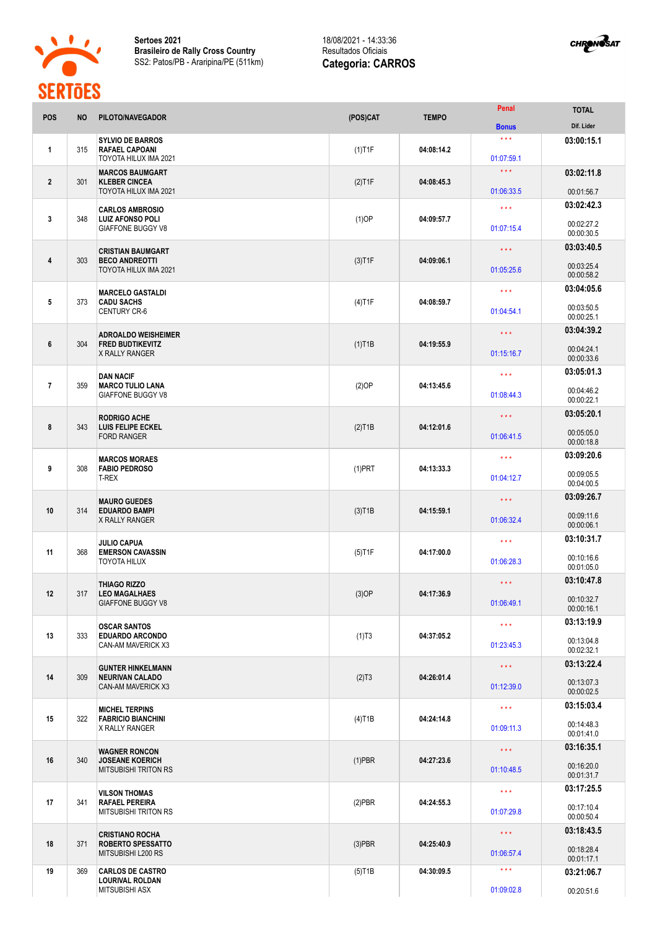

**Sertoes 2021 Brasileiro de Rally Cross Country** SS2: Patos/PB - Araripina/PE (511km)

## 18/08/2021 - 14:33:36 Resultados Oficiais **Categoria: CARROS**



| <b>POS</b>     | <b>NO</b> | PILOTO/NAVEGADOR                                                           | (POS)CAT                | <b>TEMPO</b> | Penal                             | <b>TOTAL</b><br>Dif. Lider |
|----------------|-----------|----------------------------------------------------------------------------|-------------------------|--------------|-----------------------------------|----------------------------|
|                |           |                                                                            |                         |              | <b>Bonus</b><br>$* * *$           |                            |
| $\mathbf{1}$   | 315       | <b>SYLVIO DE BARROS</b><br><b>RAFAEL CAPOANI</b><br>TOYOTA HILUX IMA 2021  | $(1)$ T1F               | 04:08:14.2   | 01:07:59.1                        | 03:00:15.1                 |
|                |           | <b>MARCOS BAUMGART</b>                                                     |                         |              | $\star\star\star$                 | 03:02:11.8                 |
| $\overline{2}$ | 301       | <b>KLEBER CINCEA</b><br><b>TOYOTA HILUX IMA 2021</b>                       | $(2)$ T1F               | 04:08:45.3   | 01:06:33.5                        | 00:01:56.7                 |
|                |           | <b>CARLOS AMBROSIO</b>                                                     |                         |              | $\star \star \star$               | 03:02:42.3                 |
| 3              | 348       | <b>LUIZ AFONSO POLI</b><br><b>GIAFFONE BUGGY V8</b>                        | $(1)$ OP                | 04:09:57.7   | 01:07:15.4                        | 00:02:27.2<br>00:00:30.5   |
|                |           |                                                                            |                         |              | $\star \star \star$               | 03:03:40.5                 |
| 4              | 303       | <b>CRISTIAN BAUMGART</b><br><b>BECO ANDREOTTI</b><br>TOYOTA HILUX IMA 2021 | $(3)$ T1F               | 04:09:06.1   | 01:05:25.6                        | 00:03:25.4<br>00:00:58.2   |
|                |           |                                                                            |                         |              | $\star \star \star$               | 03:04:05.6                 |
| 5              | 373       | <b>MARCELO GASTALDI</b><br><b>CADU SACHS</b><br><b>CENTURY CR-6</b>        | $(4)$ T1F               | 04:08:59.7   | 01:04:54.1                        | 00:03:50.5                 |
|                |           |                                                                            |                         |              |                                   | 00:00:25.1<br>03:04:39.2   |
| 6              | 304       | <b>ADROALDO WEISHEIMER</b><br><b>FRED BUDTIKEVITZ</b>                      | $(1)$ T1B               | 04:19:55.9   | $\star \star \star$<br>01:15:16.7 | 00:04:24.1                 |
|                |           | <b>X RALLY RANGER</b>                                                      |                         |              |                                   | 00:00:33.6                 |
| $\overline{7}$ | 359       | <b>DAN NACIF</b><br><b>MARCO TULIO LANA</b>                                | $(2)$ OP                | 04:13:45.6   | $\star \star \star$               | 03:05:01.3<br>00:04:46.2   |
|                |           | <b>GIAFFONE BUGGY V8</b>                                                   |                         |              | 01:08:44.3                        | 00:00:22.1                 |
|                |           | <b>RODRIGO ACHE</b>                                                        |                         |              | $\star \star \star$               | 03:05:20.1                 |
| 8              | 343       | <b>LUIS FELIPE ECKEL</b><br><b>FORD RANGER</b>                             | $(2)$ T1B               | 04:12:01.6   | 01:06:41.5                        | 00:05:05.0<br>00:00:18.8   |
|                |           | <b>MARCOS MORAES</b>                                                       |                         |              | $* * *$                           | 03:09:20.6                 |
| 9              | 308       | <b>FABIO PEDROSO</b><br>T-REX                                              | $(1)$ PRT<br>04:13:33.3 | 01:04:12.7   | 00:09:05.5                        |                            |
|                |           |                                                                            |                         |              |                                   | 00:04:00.5                 |
| 10             | 314       | <b>MAURO GUEDES</b><br><b>EDUARDO BAMPI</b>                                |                         | 04:15:59.1   | $\star$ $\star$ $\star$           | 03:09:26.7                 |
|                |           | <b>X RALLY RANGER</b>                                                      | $(3)$ T1B               |              | 01:06:32.4                        | 00:09:11.6<br>00:00:06.1   |
|                |           | <b>JULIO CAPUA</b>                                                         |                         |              | $\star\star\star$                 | 03:10:31.7                 |
| 11             | 368       | <b>EMERSON CAVASSIN</b><br><b>TOYOTA HILUX</b>                             | $(5)$ T1F               | 04:17:00.0   | 01:06:28.3                        | 00:10:16.6<br>00:01:05.0   |
|                |           |                                                                            |                         |              |                                   | 03:10:47.8                 |
| 12             | 317       | <b>THIAGO RIZZO</b><br><b>LEO MAGALHAES</b>                                | $(3)$ OP                | 04:17:36.9   | $* * *$                           |                            |
|                |           | <b>GIAFFONE BUGGY V8</b>                                                   |                         |              | 01:06:49.1                        | 00:10:32.7<br>00:00:16.1   |
|                |           |                                                                            |                         |              | $\star\star\star$                 | 03:13:19.9                 |
| 13             | 333       | <b>OSCAR SANTOS</b><br><b>EDUARDO ARCONDO</b>                              | (1)T3                   | 04:37:05.2   |                                   |                            |
|                |           | CAN-AM MAVERICK X3                                                         |                         |              | 01:23:45.3                        | 00:13:04.8<br>00:02:32.1   |
|                |           | <b>GUNTER HINKELMANN</b>                                                   |                         |              | $\star$ $\star$ $\star$           | 03:13:22.4                 |
| 14             | 309       | <b>NEURIVAN CALADO</b><br><b>CAN-AM MAVERICK X3</b>                        | (2)T3                   | 04:26:01.4   | 01:12:39.0                        | 00:13:07.3<br>00:00:02.5   |
|                |           | <b>MICHEL TERPINS</b>                                                      |                         |              | $\star\star\star$                 | 03:15:03.4                 |
| 15             | 322       | <b>FABRICIO BIANCHINI</b><br><b>X RALLY RANGER</b>                         | $(4)$ T1B               | 04:24:14.8   | 01:09:11.3                        | 00:14:48.3                 |
|                |           |                                                                            |                         |              |                                   | 00:01:41.0                 |
|                |           | <b>WAGNER RONCON</b>                                                       |                         |              | $\star\star\star$                 | 03:16:35.1                 |
| 16             | 340       | <b>JOSEANE KOERICH</b><br><b>MITSUBISHI TRITON RS</b>                      | $(1)$ PBR               | 04:27:23.6   | 01:10:48.5                        | 00:16:20.0<br>00:01:31.7   |
|                |           | <b>VILSON THOMAS</b>                                                       |                         |              | $\star\star\star$                 | 03:17:25.5                 |
| 17             | 341       | <b>RAFAEL PEREIRA</b>                                                      | $(2)$ PBR               | 04:24:55.3   |                                   |                            |
|                |           | <b>MITSUBISHI TRITON RS</b>                                                |                         |              | 01:07:29.8                        | 00:17:10.4<br>00:00:50.4   |
|                |           | <b>CRISTIANO ROCHA</b>                                                     |                         |              | $\star$ $\star$ $\star$           | 03:18:43.5                 |
| 18             | 371       | <b>ROBERTO SPESSATTO</b><br>MITSUBISHI L200 RS                             | $(3)$ PBR               | 04:25:40.9   | 01:06:57.4                        | 00:18:28.4<br>00:01:17.1   |
| 19             | 369       | <b>CARLOS DE CASTRO</b>                                                    | $(5)$ T1B               | 04:30:09.5   | $\star\star\star$                 | 03:21:06.7                 |
|                |           | <b>LOURIVAL ROLDAN</b><br><b>MITSUBISHI ASX</b>                            |                         |              | 01:09:02.8                        | 00:20:51.6                 |